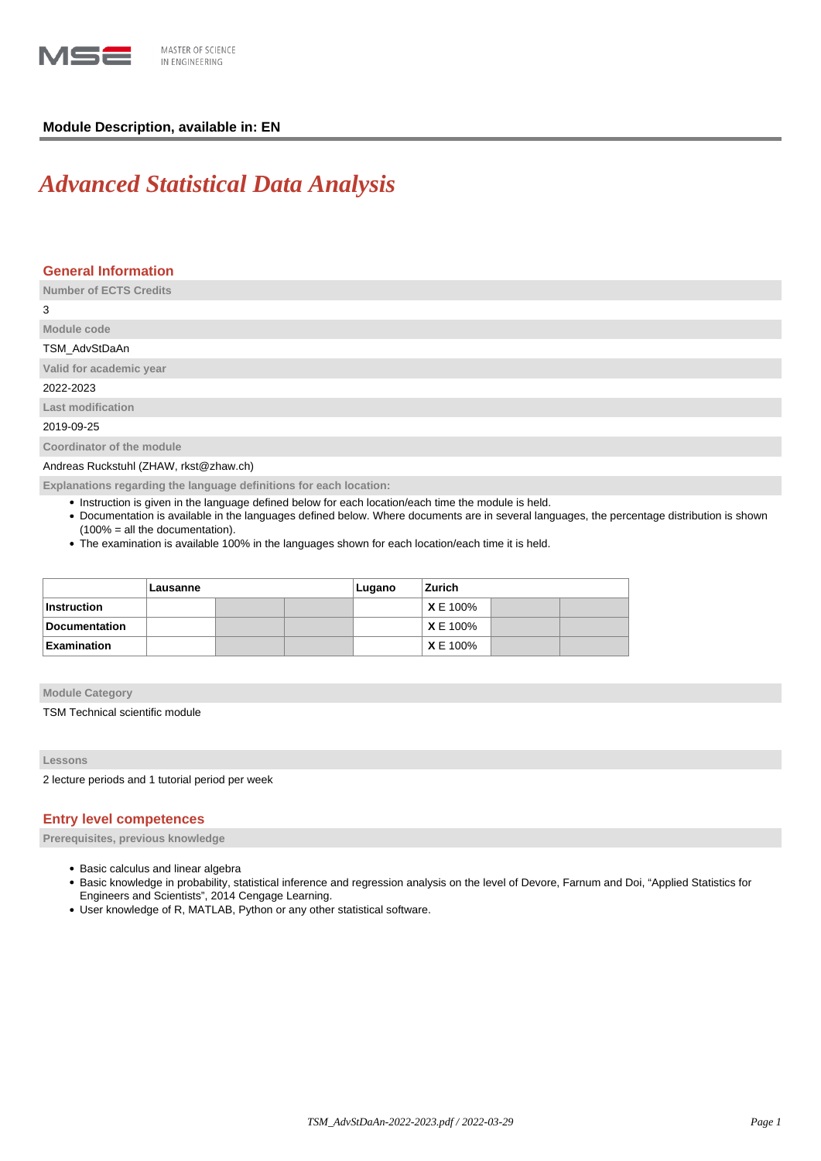

# **Module Description, available in: EN**

# *Advanced Statistical Data Analysis*

# **General Information**

**Number of ECTS Credits**

3

# **Module code** TSM\_AdvStDaAn

**Valid for academic year**

2022-2023

**Last modification**

2019-09-25

**Coordinator of the module**

Andreas Ruckstuhl (ZHAW, rkst@zhaw.ch)

**Explanations regarding the language definitions for each location:**

- Instruction is given in the language defined below for each location/each time the module is held.
- Documentation is available in the languages defined below. Where documents are in several languages, the percentage distribution is shown (100% = all the documentation).
- The examination is available 100% in the languages shown for each location/each time it is held.

|               | Lausanne |  |  | Lugano | <b>Zurich</b>   |  |  |
|---------------|----------|--|--|--------|-----------------|--|--|
| ∣Instruction  |          |  |  |        | <b>X</b> E 100% |  |  |
| Documentation |          |  |  |        | <b>X</b> E 100% |  |  |
| Examination   |          |  |  |        | <b>XE 100%</b>  |  |  |

**Module Category**

TSM Technical scientific module

## **Lessons**

2 lecture periods and 1 tutorial period per week

# **Entry level competences**

**Prerequisites, previous knowledge**

- Basic calculus and linear algebra
- . Basic knowledge in probability, statistical inference and regression analysis on the level of Devore, Farnum and Doi, "Applied Statistics for Engineers and Scientists", 2014 Cengage Learning.
- User knowledge of R, MATLAB, Python or any other statistical software.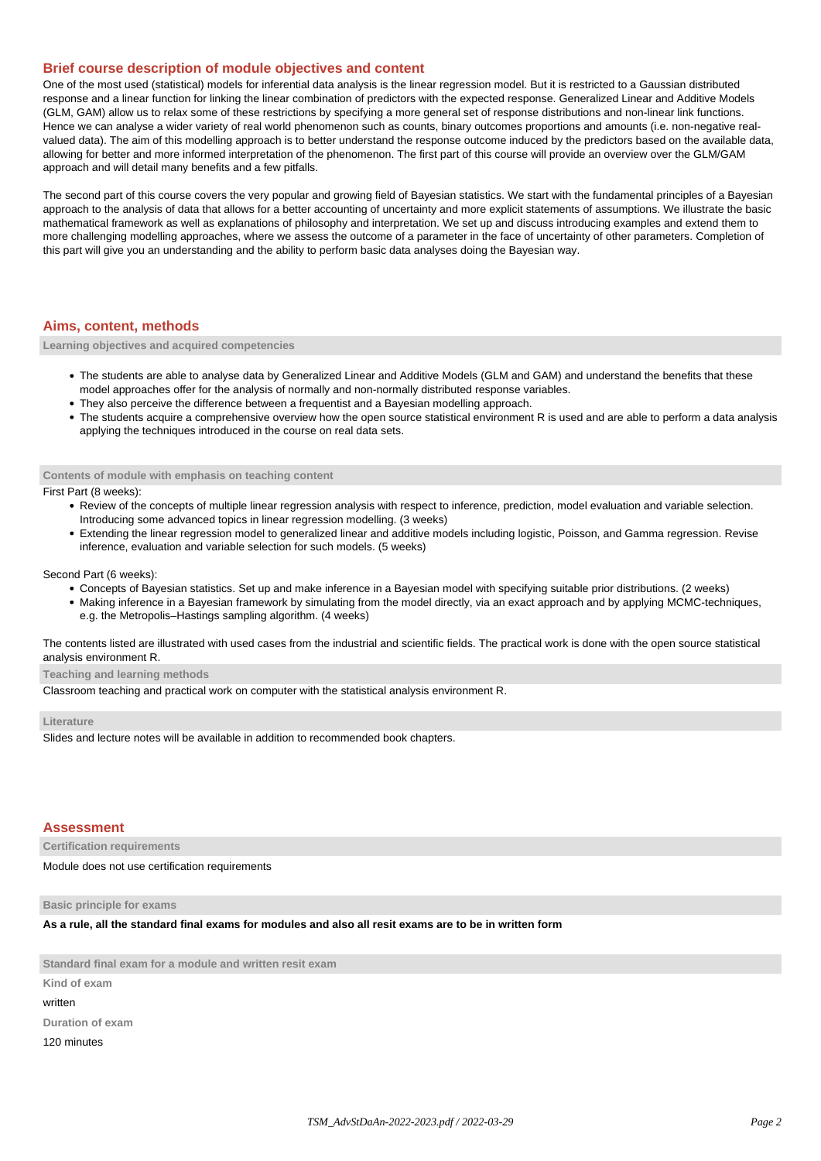## **Brief course description of module objectives and content**

One of the most used (statistical) models for inferential data analysis is the linear regression model. But it is restricted to a Gaussian distributed response and a linear function for linking the linear combination of predictors with the expected response. Generalized Linear and Additive Models (GLM, GAM) allow us to relax some of these restrictions by specifying a more general set of response distributions and non-linear link functions. Hence we can analyse a wider variety of real world phenomenon such as counts, binary outcomes proportions and amounts (i.e. non-negative realvalued data). The aim of this modelling approach is to better understand the response outcome induced by the predictors based on the available data, allowing for better and more informed interpretation of the phenomenon. The first part of this course will provide an overview over the GLM/GAM approach and will detail many benefits and a few pitfalls.

The second part of this course covers the very popular and growing field of Bayesian statistics. We start with the fundamental principles of a Bayesian approach to the analysis of data that allows for a better accounting of uncertainty and more explicit statements of assumptions. We illustrate the basic mathematical framework as well as explanations of philosophy and interpretation. We set up and discuss introducing examples and extend them to more challenging modelling approaches, where we assess the outcome of a parameter in the face of uncertainty of other parameters. Completion of this part will give you an understanding and the ability to perform basic data analyses doing the Bayesian way.

## **Aims, content, methods**

**Learning objectives and acquired competencies**

- The students are able to analyse data by Generalized Linear and Additive Models (GLM and GAM) and understand the benefits that these model approaches offer for the analysis of normally and non-normally distributed response variables.
- They also perceive the difference between a frequentist and a Bayesian modelling approach.
- The students acquire a comprehensive overview how the open source statistical environment R is used and are able to perform a data analysis applying the techniques introduced in the course on real data sets.

#### **Contents of module with emphasis on teaching content**

First Part (8 weeks):

- Review of the concepts of multiple linear regression analysis with respect to inference, prediction, model evaluation and variable selection. Introducing some advanced topics in linear regression modelling. (3 weeks)
- Extending the linear regression model to generalized linear and additive models including logistic, Poisson, and Gamma regression. Revise inference, evaluation and variable selection for such models. (5 weeks)

#### Second Part (6 weeks):

- Concepts of Bayesian statistics. Set up and make inference in a Bayesian model with specifying suitable prior distributions. (2 weeks)
- Making inference in a Bayesian framework by simulating from the model directly, via an exact approach and by applying MCMC-techniques, e.g. the Metropolis–Hastings sampling algorithm. (4 weeks)

The contents listed are illustrated with used cases from the industrial and scientific fields. The practical work is done with the open source statistical analysis environment R.

## **Teaching and learning methods**

Classroom teaching and practical work on computer with the statistical analysis environment R.

#### **Literature**

Slides and lecture notes will be available in addition to recommended book chapters.

#### **Assessment**

**Certification requirements**

Module does not use certification requirements

**Basic principle for exams**

**As a rule, all the standard final exams for modules and also all resit exams are to be in written form**

**Standard final exam for a module and written resit exam**

**Kind of exam**

written

**Duration of exam**

120 minutes